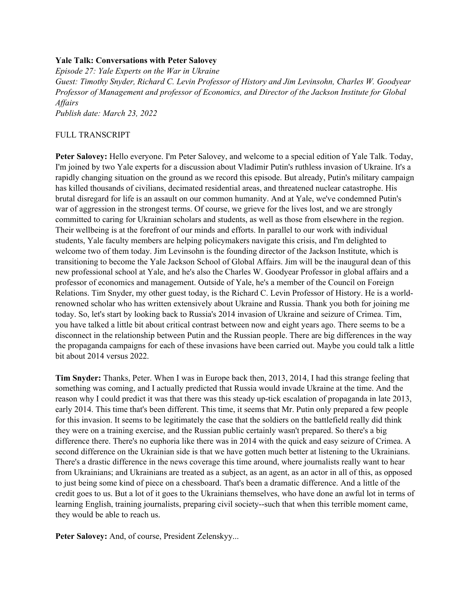## **Yale Talk: Conversations with Peter Salovey**

*Episode 27: Yale Experts on the War in Ukraine Guest: Timothy Snyder, Richard C. Levin Professor of History and Jim Levinsohn, Charles W. Goodyear Professor of Management and professor of Economics, and Director of the Jackson Institute for Global Affairs Publish date: March 23, 2022*

## FULL TRANSCRIPT

**Peter Salovey:** Hello everyone. I'm Peter Salovey, and welcome to a special edition of Yale Talk. Today, I'm joined by two Yale experts for a discussion about Vladimir Putin's ruthless invasion of Ukraine. It's a rapidly changing situation on the ground as we record this episode. But already, Putin's military campaign has killed thousands of civilians, decimated residential areas, and threatened nuclear catastrophe. His brutal disregard for life is an assault on our common humanity. And at Yale, we've condemned Putin's war of aggression in the strongest terms. Of course, we grieve for the lives lost, and we are strongly committed to caring for Ukrainian scholars and students, as well as those from elsewhere in the region. Their wellbeing is at the forefront of our minds and efforts. In parallel to our work with individual students, Yale faculty members are helping policymakers navigate this crisis, and I'm delighted to welcome two of them today. Jim Levinsohn is the founding director of the Jackson Institute, which is transitioning to become the Yale Jackson School of Global Affairs. Jim will be the inaugural dean of this new professional school at Yale, and he's also the Charles W. Goodyear Professor in global affairs and a professor of economics and management. Outside of Yale, he's a member of the Council on Foreign Relations. Tim Snyder, my other guest today, is the Richard C. Levin Professor of History. He is a worldrenowned scholar who has written extensively about Ukraine and Russia. Thank you both for joining me today. So, let's start by looking back to Russia's 2014 invasion of Ukraine and seizure of Crimea. Tim, you have talked a little bit about critical contrast between now and eight years ago. There seems to be a disconnect in the relationship between Putin and the Russian people. There are big differences in the way the propaganda campaigns for each of these invasions have been carried out. Maybe you could talk a little bit about 2014 versus 2022.

**Tim Snyder:** Thanks, Peter. When I was in Europe back then, 2013, 2014, I had this strange feeling that something was coming, and I actually predicted that Russia would invade Ukraine at the time. And the reason why I could predict it was that there was this steady up-tick escalation of propaganda in late 2013, early 2014. This time that's been different. This time, it seems that Mr. Putin only prepared a few people for this invasion. It seems to be legitimately the case that the soldiers on the battlefield really did think they were on a training exercise, and the Russian public certainly wasn't prepared. So there's a big difference there. There's no euphoria like there was in 2014 with the quick and easy seizure of Crimea. A second difference on the Ukrainian side is that we have gotten much better at listening to the Ukrainians. There's a drastic difference in the news coverage this time around, where journalists really want to hear from Ukrainians; and Ukrainians are treated as a subject, as an agent, as an actor in all of this, as opposed to just being some kind of piece on a chessboard. That's been a dramatic difference. And a little of the credit goes to us. But a lot of it goes to the Ukrainians themselves, who have done an awful lot in terms of learning English, training journalists, preparing civil society--such that when this terrible moment came, they would be able to reach us.

Peter Salovey: And, of course, President Zelenskyy...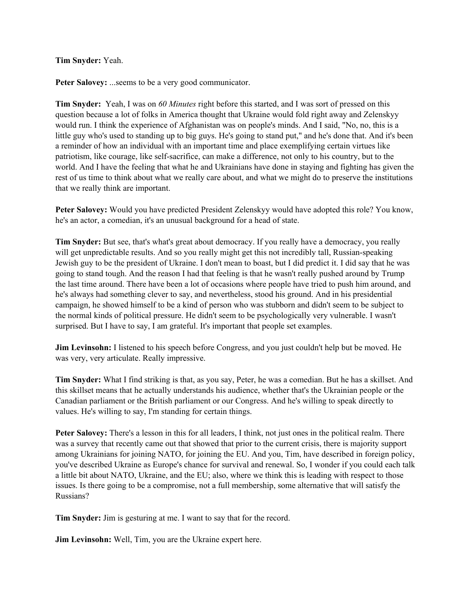# **Tim Snyder:** Yeah.

Peter Salovey: ...seems to be a very good communicator.

**Tim Snyder:** Yeah, I was on *60 Minutes* right before this started, and I was sort of pressed on this question because a lot of folks in America thought that Ukraine would fold right away and Zelenskyy would run. I think the experience of Afghanistan was on people's minds. And I said, "No, no, this is a little guy who's used to standing up to big guys. He's going to stand put," and he's done that. And it's been a reminder of how an individual with an important time and place exemplifying certain virtues like patriotism, like courage, like self-sacrifice, can make a difference, not only to his country, but to the world. And I have the feeling that what he and Ukrainians have done in staying and fighting has given the rest of us time to think about what we really care about, and what we might do to preserve the institutions that we really think are important.

**Peter Salovey:** Would you have predicted President Zelenskyy would have adopted this role? You know, he's an actor, a comedian, it's an unusual background for a head of state.

**Tim Snyder:** But see, that's what's great about democracy. If you really have a democracy, you really will get unpredictable results. And so you really might get this not incredibly tall, Russian-speaking Jewish guy to be the president of Ukraine. I don't mean to boast, but I did predict it. I did say that he was going to stand tough. And the reason I had that feeling is that he wasn't really pushed around by Trump the last time around. There have been a lot of occasions where people have tried to push him around, and he's always had something clever to say, and nevertheless, stood his ground. And in his presidential campaign, he showed himself to be a kind of person who was stubborn and didn't seem to be subject to the normal kinds of political pressure. He didn't seem to be psychologically very vulnerable. I wasn't surprised. But I have to say, I am grateful. It's important that people set examples.

**Jim Levinsohn:** I listened to his speech before Congress, and you just couldn't help but be moved. He was very, very articulate. Really impressive.

**Tim Snyder:** What I find striking is that, as you say, Peter, he was a comedian. But he has a skillset. And this skillset means that he actually understands his audience, whether that's the Ukrainian people or the Canadian parliament or the British parliament or our Congress. And he's willing to speak directly to values. He's willing to say, I'm standing for certain things.

**Peter Salovey:** There's a lesson in this for all leaders, I think, not just ones in the political realm. There was a survey that recently came out that showed that prior to the current crisis, there is majority support among Ukrainians for joining NATO, for joining the EU. And you, Tim, have described in foreign policy, you've described Ukraine as Europe's chance for survival and renewal. So, I wonder if you could each talk a little bit about NATO, Ukraine, and the EU; also, where we think this is leading with respect to those issues. Is there going to be a compromise, not a full membership, some alternative that will satisfy the Russians?

**Tim Snyder:** Jim is gesturing at me. I want to say that for the record.

**Jim Levinsohn:** Well, Tim, you are the Ukraine expert here.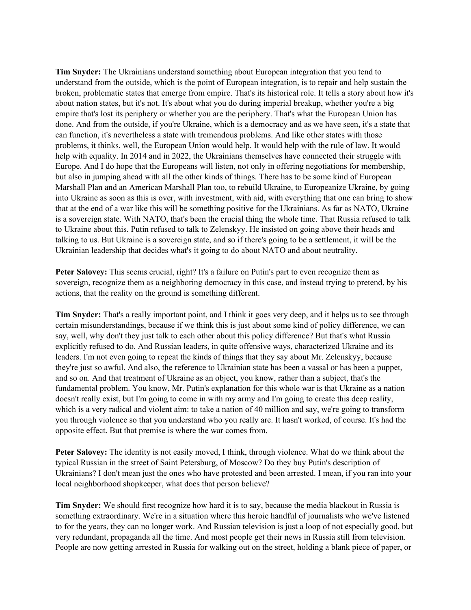**Tim Snyder:** The Ukrainians understand something about European integration that you tend to understand from the outside, which is the point of European integration, is to repair and help sustain the broken, problematic states that emerge from empire. That's its historical role. It tells a story about how it's about nation states, but it's not. It's about what you do during imperial breakup, whether you're a big empire that's lost its periphery or whether you are the periphery. That's what the European Union has done. And from the outside, if you're Ukraine, which is a democracy and as we have seen, it's a state that can function, it's nevertheless a state with tremendous problems. And like other states with those problems, it thinks, well, the European Union would help. It would help with the rule of law. It would help with equality. In 2014 and in 2022, the Ukrainians themselves have connected their struggle with Europe. And I do hope that the Europeans will listen, not only in offering negotiations for membership, but also in jumping ahead with all the other kinds of things. There has to be some kind of European Marshall Plan and an American Marshall Plan too, to rebuild Ukraine, to Europeanize Ukraine, by going into Ukraine as soon as this is over, with investment, with aid, with everything that one can bring to show that at the end of a war like this will be something positive for the Ukrainians. As far as NATO, Ukraine is a sovereign state. With NATO, that's been the crucial thing the whole time. That Russia refused to talk to Ukraine about this. Putin refused to talk to Zelenskyy. He insisted on going above their heads and talking to us. But Ukraine is a sovereign state, and so if there's going to be a settlement, it will be the Ukrainian leadership that decides what's it going to do about NATO and about neutrality.

**Peter Salovey:** This seems crucial, right? It's a failure on Putin's part to even recognize them as sovereign, recognize them as a neighboring democracy in this case, and instead trying to pretend, by his actions, that the reality on the ground is something different.

**Tim Snyder:** That's a really important point, and I think it goes very deep, and it helps us to see through certain misunderstandings, because if we think this is just about some kind of policy difference, we can say, well, why don't they just talk to each other about this policy difference? But that's what Russia explicitly refused to do. And Russian leaders, in quite offensive ways, characterized Ukraine and its leaders. I'm not even going to repeat the kinds of things that they say about Mr. Zelenskyy, because they're just so awful. And also, the reference to Ukrainian state has been a vassal or has been a puppet, and so on. And that treatment of Ukraine as an object, you know, rather than a subject, that's the fundamental problem. You know, Mr. Putin's explanation for this whole war is that Ukraine as a nation doesn't really exist, but I'm going to come in with my army and I'm going to create this deep reality, which is a very radical and violent aim: to take a nation of 40 million and say, we're going to transform you through violence so that you understand who you really are. It hasn't worked, of course. It's had the opposite effect. But that premise is where the war comes from.

**Peter Salovey:** The identity is not easily moved, I think, through violence. What do we think about the typical Russian in the street of Saint Petersburg, of Moscow? Do they buy Putin's description of Ukrainians? I don't mean just the ones who have protested and been arrested. I mean, if you ran into your local neighborhood shopkeeper, what does that person believe?

**Tim Snyder:** We should first recognize how hard it is to say, because the media blackout in Russia is something extraordinary. We're in a situation where this heroic handful of journalists who we've listened to for the years, they can no longer work. And Russian television is just a loop of not especially good, but very redundant, propaganda all the time. And most people get their news in Russia still from television. People are now getting arrested in Russia for walking out on the street, holding a blank piece of paper, or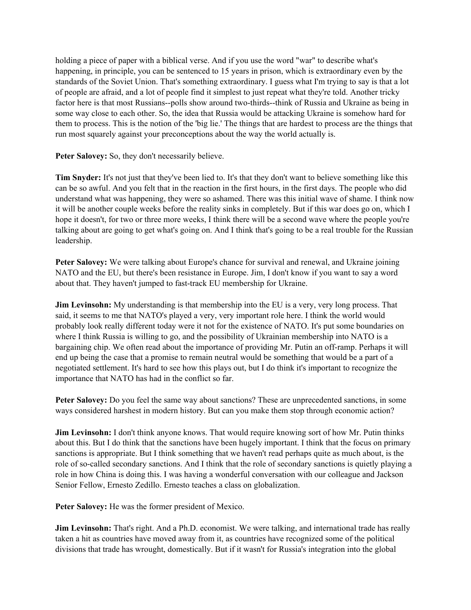holding a piece of paper with a biblical verse. And if you use the word "war" to describe what's happening, in principle, you can be sentenced to 15 years in prison, which is extraordinary even by the standards of the Soviet Union. That's something extraordinary. I guess what I'm trying to say is that a lot of people are afraid, and a lot of people find it simplest to just repeat what they're told. Another tricky factor here is that most Russians--polls show around two-thirds--think of Russia and Ukraine as being in some way close to each other. So, the idea that Russia would be attacking Ukraine is somehow hard for them to process. This is the notion of the 'big lie.' The things that are hardest to process are the things that run most squarely against your preconceptions about the way the world actually is.

Peter Salovey: So, they don't necessarily believe.

**Tim Snyder:** It's not just that they've been lied to. It's that they don't want to believe something like this can be so awful. And you felt that in the reaction in the first hours, in the first days. The people who did understand what was happening, they were so ashamed. There was this initial wave of shame. I think now it will be another couple weeks before the reality sinks in completely. But if this war does go on, which I hope it doesn't, for two or three more weeks, I think there will be a second wave where the people you're talking about are going to get what's going on. And I think that's going to be a real trouble for the Russian leadership.

**Peter Salovey:** We were talking about Europe's chance for survival and renewal, and Ukraine joining NATO and the EU, but there's been resistance in Europe. Jim, I don't know if you want to say a word about that. They haven't jumped to fast-track EU membership for Ukraine.

**Jim Levinsohn:** My understanding is that membership into the EU is a very, very long process. That said, it seems to me that NATO's played a very, very important role here. I think the world would probably look really different today were it not for the existence of NATO. It's put some boundaries on where I think Russia is willing to go, and the possibility of Ukrainian membership into NATO is a bargaining chip. We often read about the importance of providing Mr. Putin an off-ramp. Perhaps it will end up being the case that a promise to remain neutral would be something that would be a part of a negotiated settlement. It's hard to see how this plays out, but I do think it's important to recognize the importance that NATO has had in the conflict so far.

**Peter Salovey:** Do you feel the same way about sanctions? These are unprecedented sanctions, in some ways considered harshest in modern history. But can you make them stop through economic action?

**Jim Levinsohn:** I don't think anyone knows. That would require knowing sort of how Mr. Putin thinks about this. But I do think that the sanctions have been hugely important. I think that the focus on primary sanctions is appropriate. But I think something that we haven't read perhaps quite as much about, is the role of so-called secondary sanctions. And I think that the role of secondary sanctions is quietly playing a role in how China is doing this. I was having a wonderful conversation with our colleague and Jackson Senior Fellow, Ernesto Zedillo. Ernesto teaches a class on globalization.

**Peter Salovey:** He was the former president of Mexico.

**Jim Levinsohn:** That's right. And a Ph.D. economist. We were talking, and international trade has really taken a hit as countries have moved away from it, as countries have recognized some of the political divisions that trade has wrought, domestically. But if it wasn't for Russia's integration into the global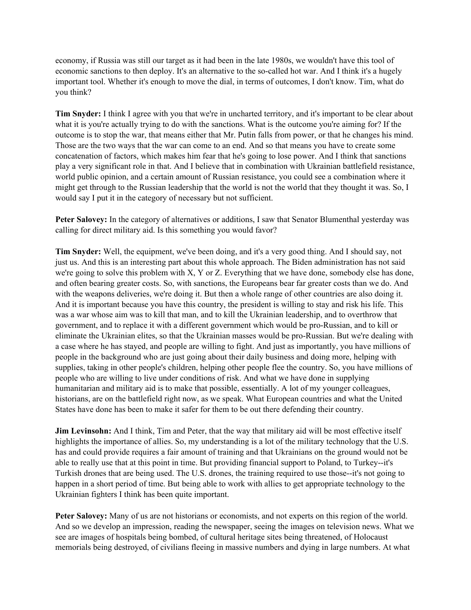economy, if Russia was still our target as it had been in the late 1980s, we wouldn't have this tool of economic sanctions to then deploy. It's an alternative to the so-called hot war. And I think it's a hugely important tool. Whether it's enough to move the dial, in terms of outcomes, I don't know. Tim, what do you think?

**Tim Snyder:** I think I agree with you that we're in uncharted territory, and it's important to be clear about what it is you're actually trying to do with the sanctions. What is the outcome you're aiming for? If the outcome is to stop the war, that means either that Mr. Putin falls from power, or that he changes his mind. Those are the two ways that the war can come to an end. And so that means you have to create some concatenation of factors, which makes him fear that he's going to lose power. And I think that sanctions play a very significant role in that. And I believe that in combination with Ukrainian battlefield resistance, world public opinion, and a certain amount of Russian resistance, you could see a combination where it might get through to the Russian leadership that the world is not the world that they thought it was. So, I would say I put it in the category of necessary but not sufficient.

Peter Salovey: In the category of alternatives or additions, I saw that Senator Blumenthal yesterday was calling for direct military aid. Is this something you would favor?

**Tim Snyder:** Well, the equipment, we've been doing, and it's a very good thing. And I should say, not just us. And this is an interesting part about this whole approach. The Biden administration has not said we're going to solve this problem with X, Y or Z. Everything that we have done, somebody else has done, and often bearing greater costs. So, with sanctions, the Europeans bear far greater costs than we do. And with the weapons deliveries, we're doing it. But then a whole range of other countries are also doing it. And it is important because you have this country, the president is willing to stay and risk his life. This was a war whose aim was to kill that man, and to kill the Ukrainian leadership, and to overthrow that government, and to replace it with a different government which would be pro-Russian, and to kill or eliminate the Ukrainian elites, so that the Ukrainian masses would be pro-Russian. But we're dealing with a case where he has stayed, and people are willing to fight. And just as importantly, you have millions of people in the background who are just going about their daily business and doing more, helping with supplies, taking in other people's children, helping other people flee the country. So, you have millions of people who are willing to live under conditions of risk. And what we have done in supplying humanitarian and military aid is to make that possible, essentially. A lot of my younger colleagues, historians, are on the battlefield right now, as we speak. What European countries and what the United States have done has been to make it safer for them to be out there defending their country.

**Jim Levinsohn:** And I think, Tim and Peter, that the way that military aid will be most effective itself highlights the importance of allies. So, my understanding is a lot of the military technology that the U.S. has and could provide requires a fair amount of training and that Ukrainians on the ground would not be able to really use that at this point in time. But providing financial support to Poland, to Turkey--it's Turkish drones that are being used. The U.S. drones, the training required to use those--it's not going to happen in a short period of time. But being able to work with allies to get appropriate technology to the Ukrainian fighters I think has been quite important.

**Peter Salovey:** Many of us are not historians or economists, and not experts on this region of the world. And so we develop an impression, reading the newspaper, seeing the images on television news. What we see are images of hospitals being bombed, of cultural heritage sites being threatened, of Holocaust memorials being destroyed, of civilians fleeing in massive numbers and dying in large numbers. At what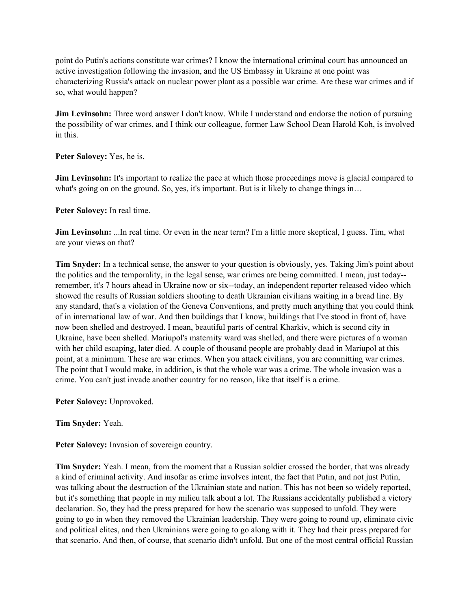point do Putin's actions constitute war crimes? I know the international criminal court has announced an active investigation following the invasion, and the US Embassy in Ukraine at one point was characterizing Russia's attack on nuclear power plant as a possible war crime. Are these war crimes and if so, what would happen?

**Jim Levinsohn:** Three word answer I don't know. While I understand and endorse the notion of pursuing the possibility of war crimes, and I think our colleague, former Law School Dean Harold Koh, is involved in this.

**Peter Salovey:** Yes, he is.

**Jim Levinsohn:** It's important to realize the pace at which those proceedings move is glacial compared to what's going on on the ground. So, yes, it's important. But is it likely to change things in...

**Peter Salovey:** In real time.

**Jim Levinsohn:** ...In real time. Or even in the near term? I'm a little more skeptical, I guess. Tim, what are your views on that?

**Tim Snyder:** In a technical sense, the answer to your question is obviously, yes. Taking Jim's point about the politics and the temporality, in the legal sense, war crimes are being committed. I mean, just today- remember, it's 7 hours ahead in Ukraine now or six--today, an independent reporter released video which showed the results of Russian soldiers shooting to death Ukrainian civilians waiting in a bread line. By any standard, that's a violation of the Geneva Conventions, and pretty much anything that you could think of in international law of war. And then buildings that I know, buildings that I've stood in front of, have now been shelled and destroyed. I mean, beautiful parts of central Kharkiv, which is second city in Ukraine, have been shelled. Mariupol's maternity ward was shelled, and there were pictures of a woman with her child escaping, later died. A couple of thousand people are probably dead in Mariupol at this point, at a minimum. These are war crimes. When you attack civilians, you are committing war crimes. The point that I would make, in addition, is that the whole war was a crime. The whole invasion was a crime. You can't just invade another country for no reason, like that itself is a crime.

**Peter Salovey:** Unprovoked.

**Tim Snyder:** Yeah.

**Peter Salovey:** Invasion of sovereign country.

**Tim Snyder:** Yeah. I mean, from the moment that a Russian soldier crossed the border, that was already a kind of criminal activity. And insofar as crime involves intent, the fact that Putin, and not just Putin, was talking about the destruction of the Ukrainian state and nation. This has not been so widely reported, but it's something that people in my milieu talk about a lot. The Russians accidentally published a victory declaration. So, they had the press prepared for how the scenario was supposed to unfold. They were going to go in when they removed the Ukrainian leadership. They were going to round up, eliminate civic and political elites, and then Ukrainians were going to go along with it. They had their press prepared for that scenario. And then, of course, that scenario didn't unfold. But one of the most central official Russian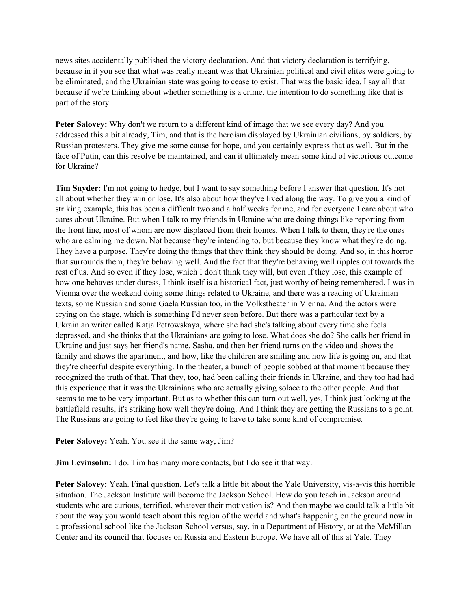news sites accidentally published the victory declaration. And that victory declaration is terrifying, because in it you see that what was really meant was that Ukrainian political and civil elites were going to be eliminated, and the Ukrainian state was going to cease to exist. That was the basic idea. I say all that because if we're thinking about whether something is a crime, the intention to do something like that is part of the story.

**Peter Salovey:** Why don't we return to a different kind of image that we see every day? And you addressed this a bit already, Tim, and that is the heroism displayed by Ukrainian civilians, by soldiers, by Russian protesters. They give me some cause for hope, and you certainly express that as well. But in the face of Putin, can this resolve be maintained, and can it ultimately mean some kind of victorious outcome for Ukraine?

**Tim Snyder:** I'm not going to hedge, but I want to say something before I answer that question. It's not all about whether they win or lose. It's also about how they've lived along the way. To give you a kind of striking example, this has been a difficult two and a half weeks for me, and for everyone I care about who cares about Ukraine. But when I talk to my friends in Ukraine who are doing things like reporting from the front line, most of whom are now displaced from their homes. When I talk to them, they're the ones who are calming me down. Not because they're intending to, but because they know what they're doing. They have a purpose. They're doing the things that they think they should be doing. And so, in this horror that surrounds them, they're behaving well. And the fact that they're behaving well ripples out towards the rest of us. And so even if they lose, which I don't think they will, but even if they lose, this example of how one behaves under duress, I think itself is a historical fact, just worthy of being remembered. I was in Vienna over the weekend doing some things related to Ukraine, and there was a reading of Ukrainian texts, some Russian and some Gaela Russian too, in the Volkstheater in Vienna. And the actors were crying on the stage, which is something I'd never seen before. But there was a particular text by a Ukrainian writer called Katja Petrowskaya, where she had she's talking about every time she feels depressed, and she thinks that the Ukrainians are going to lose. What does she do? She calls her friend in Ukraine and just says her friend's name, Sasha, and then her friend turns on the video and shows the family and shows the apartment, and how, like the children are smiling and how life is going on, and that they're cheerful despite everything. In the theater, a bunch of people sobbed at that moment because they recognized the truth of that. That they, too, had been calling their friends in Ukraine, and they too had had this experience that it was the Ukrainians who are actually giving solace to the other people. And that seems to me to be very important. But as to whether this can turn out well, yes, I think just looking at the battlefield results, it's striking how well they're doing. And I think they are getting the Russians to a point. The Russians are going to feel like they're going to have to take some kind of compromise.

**Peter Salovey:** Yeah. You see it the same way, Jim?

**Jim Levinsohn:** I do. Tim has many more contacts, but I do see it that way.

**Peter Salovey:** Yeah. Final question. Let's talk a little bit about the Yale University, vis-a-vis this horrible situation. The Jackson Institute will become the Jackson School. How do you teach in Jackson around students who are curious, terrified, whatever their motivation is? And then maybe we could talk a little bit about the way you would teach about this region of the world and what's happening on the ground now in a professional school like the Jackson School versus, say, in a Department of History, or at the McMillan Center and its council that focuses on Russia and Eastern Europe. We have all of this at Yale. They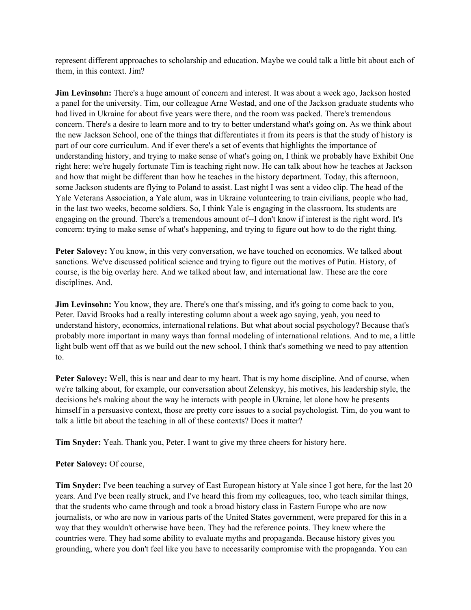represent different approaches to scholarship and education. Maybe we could talk a little bit about each of them, in this context. Jim?

**Jim Levinsohn:** There's a huge amount of concern and interest. It was about a week ago, Jackson hosted a panel for the university. Tim, our colleague Arne Westad, and one of the Jackson graduate students who had lived in Ukraine for about five years were there, and the room was packed. There's tremendous concern. There's a desire to learn more and to try to better understand what's going on. As we think about the new Jackson School, one of the things that differentiates it from its peers is that the study of history is part of our core curriculum. And if ever there's a set of events that highlights the importance of understanding history, and trying to make sense of what's going on, I think we probably have Exhibit One right here: we're hugely fortunate Tim is teaching right now. He can talk about how he teaches at Jackson and how that might be different than how he teaches in the history department. Today, this afternoon, some Jackson students are flying to Poland to assist. Last night I was sent a video clip. The head of the Yale Veterans Association, a Yale alum, was in Ukraine volunteering to train civilians, people who had, in the last two weeks, become soldiers. So, I think Yale is engaging in the classroom. Its students are engaging on the ground. There's a tremendous amount of--I don't know if interest is the right word. It's concern: trying to make sense of what's happening, and trying to figure out how to do the right thing.

**Peter Salovey:** You know, in this very conversation, we have touched on economics. We talked about sanctions. We've discussed political science and trying to figure out the motives of Putin. History, of course, is the big overlay here. And we talked about law, and international law. These are the core disciplines. And.

**Jim Levinsohn:** You know, they are. There's one that's missing, and it's going to come back to you, Peter. David Brooks had a really interesting column about a week ago saying, yeah, you need to understand history, economics, international relations. But what about social psychology? Because that's probably more important in many ways than formal modeling of international relations. And to me, a little light bulb went off that as we build out the new school, I think that's something we need to pay attention to.

**Peter Salovey:** Well, this is near and dear to my heart. That is my home discipline. And of course, when we're talking about, for example, our conversation about Zelenskyy, his motives, his leadership style, the decisions he's making about the way he interacts with people in Ukraine, let alone how he presents himself in a persuasive context, those are pretty core issues to a social psychologist. Tim, do you want to talk a little bit about the teaching in all of these contexts? Does it matter?

**Tim Snyder:** Yeah. Thank you, Peter. I want to give my three cheers for history here.

Peter Salovey: Of course,

**Tim Snyder:** I've been teaching a survey of East European history at Yale since I got here, for the last 20 years. And I've been really struck, and I've heard this from my colleagues, too, who teach similar things, that the students who came through and took a broad history class in Eastern Europe who are now journalists, or who are now in various parts of the United States government, were prepared for this in a way that they wouldn't otherwise have been. They had the reference points. They knew where the countries were. They had some ability to evaluate myths and propaganda. Because history gives you grounding, where you don't feel like you have to necessarily compromise with the propaganda. You can